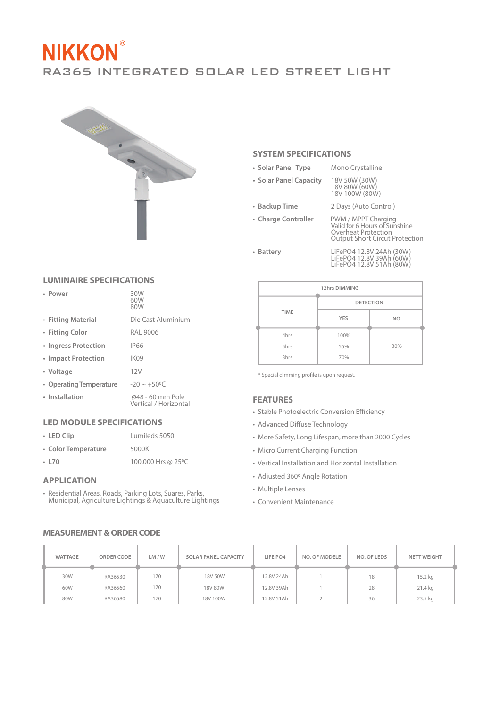# **NIKKON** RA365 INTEGRATED SOLAR LED STREET LIGHT



## **SYSTEM SPECIFICATIONS**

- **Solar Panel Type** Mono Crystalline
- 

**• Solar Panel Capacity** 18V 50W (30W) 18V 80W (60W) 18V 100W (80W)

• **Backup Time** 2 Days (Auto Control)

• **Charge Controller** PWM / MPPT Charging<br>
Valid for 6 Hours of Sunshine<br>
Overheat Protection<br>
Output Short Circut Protection

• **Battery** LiFePO4 12.8V 24Ah (30W) LiFePO4 12.8V 39Ah (60W) LiFePO4 12.8V 51Ah (80W)

| 12hrs DIMMING |                  |                |  |  |  |
|---------------|------------------|----------------|--|--|--|
|               | <b>DETECTION</b> |                |  |  |  |
| <b>TIME</b>   | <b>YES</b>       | N <sub>O</sub> |  |  |  |
| 4hrs          | 100%             |                |  |  |  |
| 5hrs          | 55%              | 30%            |  |  |  |
| 3hrs          | 70%              |                |  |  |  |

 $*$  Special dimming profile is upon request.

#### **FEATURES**

- Stable Photoelectric Conversion Efficiency
- Advanced Diffuse Technology
- More Safety, Long Lifespan, more than 2000 Cycles
- Micro Current Charging Function
- Vertical Installation and Horizontal Installation
- Adjusted 360° Angle Rotation
- Multiple Lenses
- Convenient Maintenance

| WATTAGE | ORDER CODE | LM/W | SOLAR PANEL CAPACITY | LIFE PO4   | <b>NO. OF MODELE</b> | NO. OF LEDS | <b>NETT WEIGHT</b> |
|---------|------------|------|----------------------|------------|----------------------|-------------|--------------------|
| 30W     | RA36530    | 170  | 18V 50W              | 12.8V 24Ah |                      | 18          | 15.2 kg            |
| 60W     | RA36560    | 170  | 18V 80W              | 12.8V 39Ah |                      | 28          | 21.4 kg            |
| 80W     | RA36580    | 170  | 18V 100W             | 12.8V 51Ah |                      | 36          | 23.5 kg            |

# **MEASUREMENT & ORDER CODE**

#### **LUMINAIRE SPECIFICATIONS**

| • Power                 | 30W<br>60W<br>80W                         |
|-------------------------|-------------------------------------------|
| • Fitting Material      | Die Cast Aluminium                        |
| • Fitting Color         | RAI 9006                                  |
| • Ingress Protection    | <b>IP66</b>                               |
| • Impact Protection     | IK <sub>09</sub>                          |
| • Voltage               | 12V                                       |
| • Operating Temperature | $-20 \sim +50^{\circ}$ C                  |
| • Installation          | Ø48 - 60 mm Pole<br>Vertical / Horizontal |

#### **LED MODULE SPECIFICATIONS**

| $\cdot$ LED Clip    | Lumileds 5050      |
|---------------------|--------------------|
| • Color Temperature | 5000K              |
| $-L70$              | 100,000 Hrs @ 25°C |

#### **APPLICATION**

• Residential Areas, Roads, Parking Lots, Suares, Parks, Municipal, Agriculture Lightings & Aquaculture Lightings